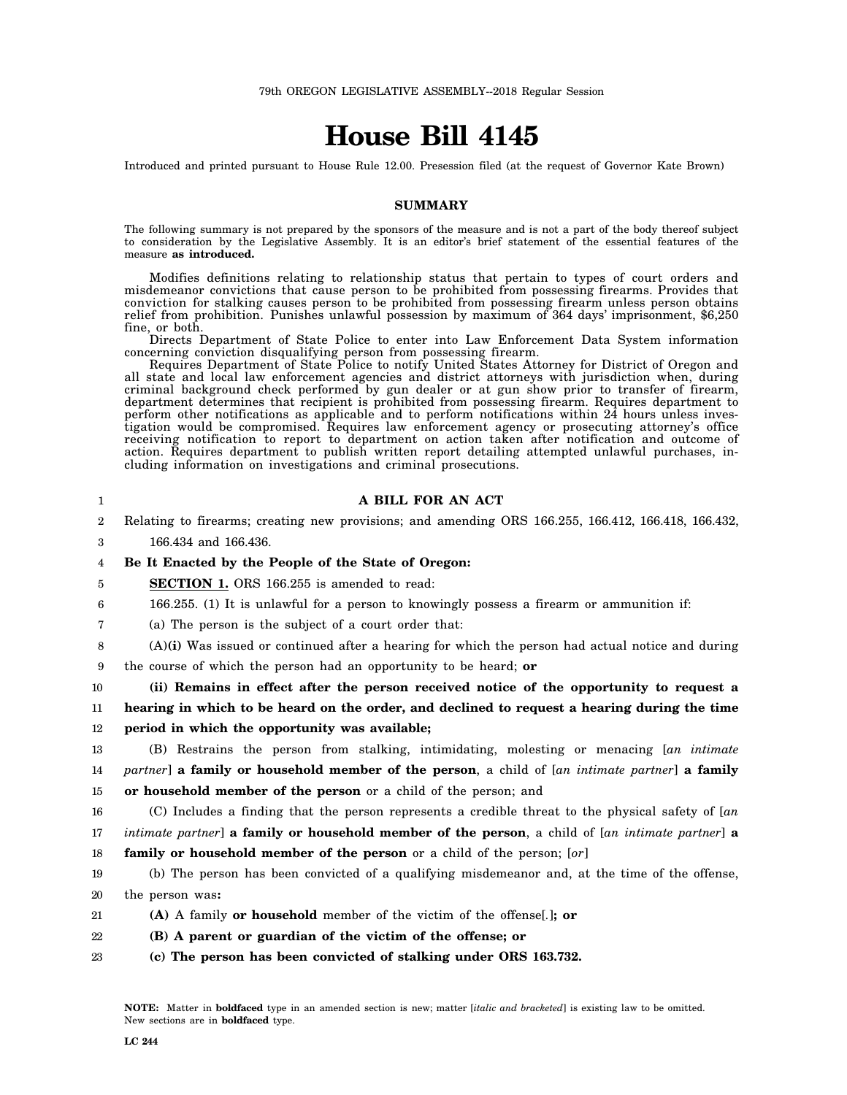# **House Bill 4145**

Introduced and printed pursuant to House Rule 12.00. Presession filed (at the request of Governor Kate Brown)

# **SUMMARY**

The following summary is not prepared by the sponsors of the measure and is not a part of the body thereof subject to consideration by the Legislative Assembly. It is an editor's brief statement of the essential features of the measure **as introduced.**

Modifies definitions relating to relationship status that pertain to types of court orders and misdemeanor convictions that cause person to be prohibited from possessing firearms. Provides that conviction for stalking causes person to be prohibited from possessing firearm unless person obtains relief from prohibition. Punishes unlawful possession by maximum of 364 days' imprisonment, \$6,250 fine, or both.

Directs Department of State Police to enter into Law Enforcement Data System information concerning conviction disqualifying person from possessing firearm.

Requires Department of State Police to notify United States Attorney for District of Oregon and all state and local law enforcement agencies and district attorneys with jurisdiction when, during criminal background check performed by gun dealer or at gun show prior to transfer of firearm, department determines that recipient is prohibited from possessing firearm. Requires department to perform other notifications as applicable and to perform notifications within 24 hours unless investigation would be compromised. Requires law enforcement agency or prosecuting attorney's office receiving notification to report to department on action taken after notification and outcome of action. Requires department to publish written report detailing attempted unlawful purchases, including information on investigations and criminal prosecutions.

| 1  | A BILL FOR AN ACT                                                                                               |
|----|-----------------------------------------------------------------------------------------------------------------|
| 2  | Relating to firearms; creating new provisions; and amending ORS 166.255, 166.412, 166.418, 166.432,             |
| 3  | 166.434 and 166.436.                                                                                            |
| 4  | Be It Enacted by the People of the State of Oregon:                                                             |
| 5  | <b>SECTION 1.</b> ORS 166.255 is amended to read:                                                               |
| 6  | 166.255. (1) It is unlawful for a person to knowingly possess a firearm or ammunition if:                       |
| 7  | (a) The person is the subject of a court order that:                                                            |
| 8  | (A)(i) Was issued or continued after a hearing for which the person had actual notice and during                |
| 9  | the course of which the person had an opportunity to be heard; or                                               |
| 10 | (ii) Remains in effect after the person received notice of the opportunity to request a                         |
| 11 | hearing in which to be heard on the order, and declined to request a hearing during the time                    |
| 12 | period in which the opportunity was available;                                                                  |
| 13 | (B) Restrains the person from stalking, intimidating, molesting or menacing [an intimate                        |
| 14 | partner] a family or household member of the person, a child of [an intimate partner] a family                  |
| 15 | or household member of the person or a child of the person; and                                                 |
| 16 | (C) Includes a finding that the person represents a credible threat to the physical safety of $[an]$            |
| 17 | intimate partner] <b>a family or household member of the person</b> , a child of [an intimate partner] <b>a</b> |
| 18 | <b>family or household member of the person</b> or a child of the person; [or]                                  |
| 19 | (b) The person has been convicted of a qualifying misdemeanor and, at the time of the offense,                  |
| 20 | the person was:                                                                                                 |
| 21 | (A) A family <b>or household</b> member of the victim of the offense. <b>. j</b> : <b>or</b>                    |
| 22 | (B) A parent or guardian of the victim of the offense; or                                                       |
| 23 | (c) The person has been convicted of stalking under ORS 163.732.                                                |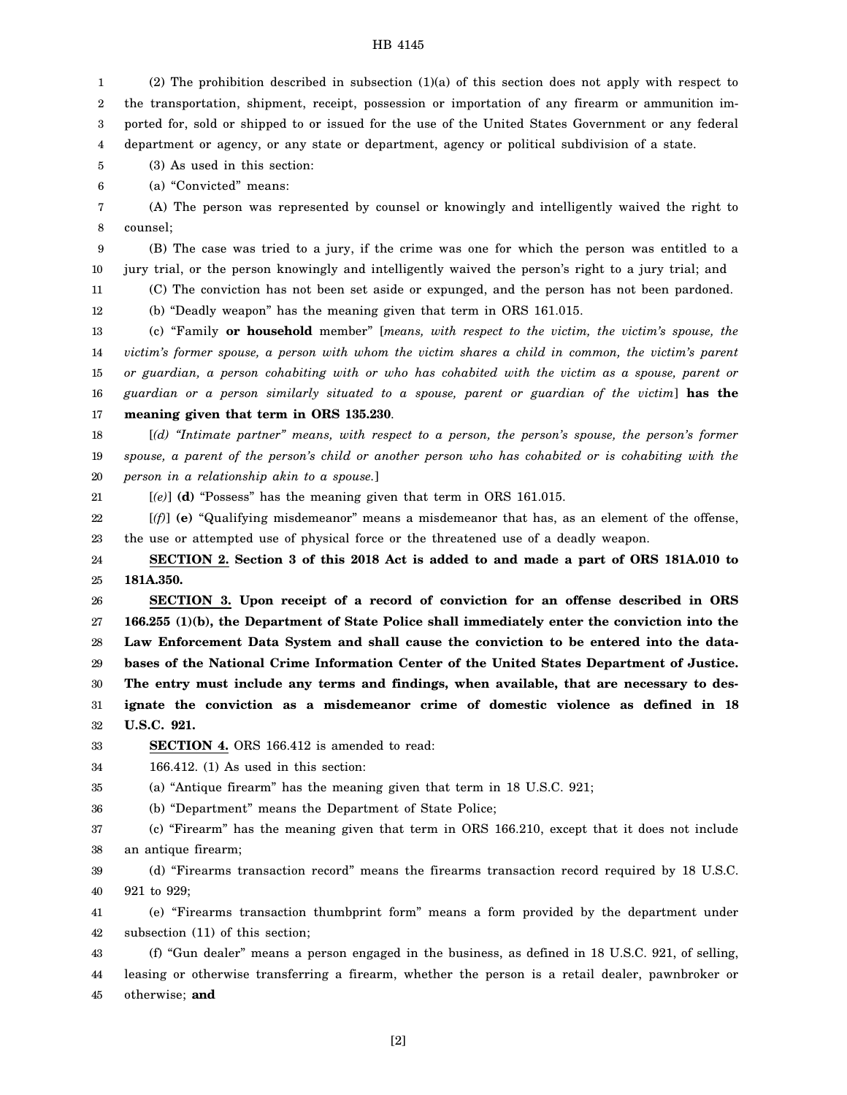1 2 3 4 (2) The prohibition described in subsection (1)(a) of this section does not apply with respect to the transportation, shipment, receipt, possession or importation of any firearm or ammunition imported for, sold or shipped to or issued for the use of the United States Government or any federal department or agency, or any state or department, agency or political subdivision of a state.

5 (3) As used in this section:

6 (a) "Convicted" means:

7 8 (A) The person was represented by counsel or knowingly and intelligently waived the right to counsel;

9 10 (B) The case was tried to a jury, if the crime was one for which the person was entitled to a jury trial, or the person knowingly and intelligently waived the person's right to a jury trial; and

11 (C) The conviction has not been set aside or expunged, and the person has not been pardoned.

12 (b) "Deadly weapon" has the meaning given that term in ORS 161.015.

13 14 15 16 17 (c) "Family **or household** member" [*means, with respect to the victim, the victim's spouse, the victim's former spouse, a person with whom the victim shares a child in common, the victim's parent or guardian, a person cohabiting with or who has cohabited with the victim as a spouse, parent or guardian or a person similarly situated to a spouse, parent or guardian of the victim*] **has the meaning given that term in ORS 135.230**.

18 19 20 [*(d) "Intimate partner" means, with respect to a person, the person's spouse, the person's former spouse, a parent of the person's child or another person who has cohabited or is cohabiting with the person in a relationship akin to a spouse.*]

21 [*(e)*] **(d)** "Possess" has the meaning given that term in ORS 161.015.

22 23 [*(f)*] **(e)** "Qualifying misdemeanor" means a misdemeanor that has, as an element of the offense, the use or attempted use of physical force or the threatened use of a deadly weapon.

24 25 **SECTION 2. Section 3 of this 2018 Act is added to and made a part of ORS 181A.010 to 181A.350.**

26 27 28 29 30 31 32 **SECTION 3. Upon receipt of a record of conviction for an offense described in ORS 166.255 (1)(b), the Department of State Police shall immediately enter the conviction into the Law Enforcement Data System and shall cause the conviction to be entered into the databases of the National Crime Information Center of the United States Department of Justice. The entry must include any terms and findings, when available, that are necessary to designate the conviction as a misdemeanor crime of domestic violence as defined in 18 U.S.C. 921.**

33 **SECTION 4.** ORS 166.412 is amended to read:

34 166.412. (1) As used in this section:

35 (a) "Antique firearm" has the meaning given that term in 18 U.S.C. 921;

36 (b) "Department" means the Department of State Police;

37 38 (c) "Firearm" has the meaning given that term in ORS 166.210, except that it does not include an antique firearm;

39 40 (d) "Firearms transaction record" means the firearms transaction record required by 18 U.S.C. 921 to 929;

41 42 (e) "Firearms transaction thumbprint form" means a form provided by the department under subsection (11) of this section;

43 44 45 (f) "Gun dealer" means a person engaged in the business, as defined in 18 U.S.C. 921, of selling, leasing or otherwise transferring a firearm, whether the person is a retail dealer, pawnbroker or otherwise; **and**

[2]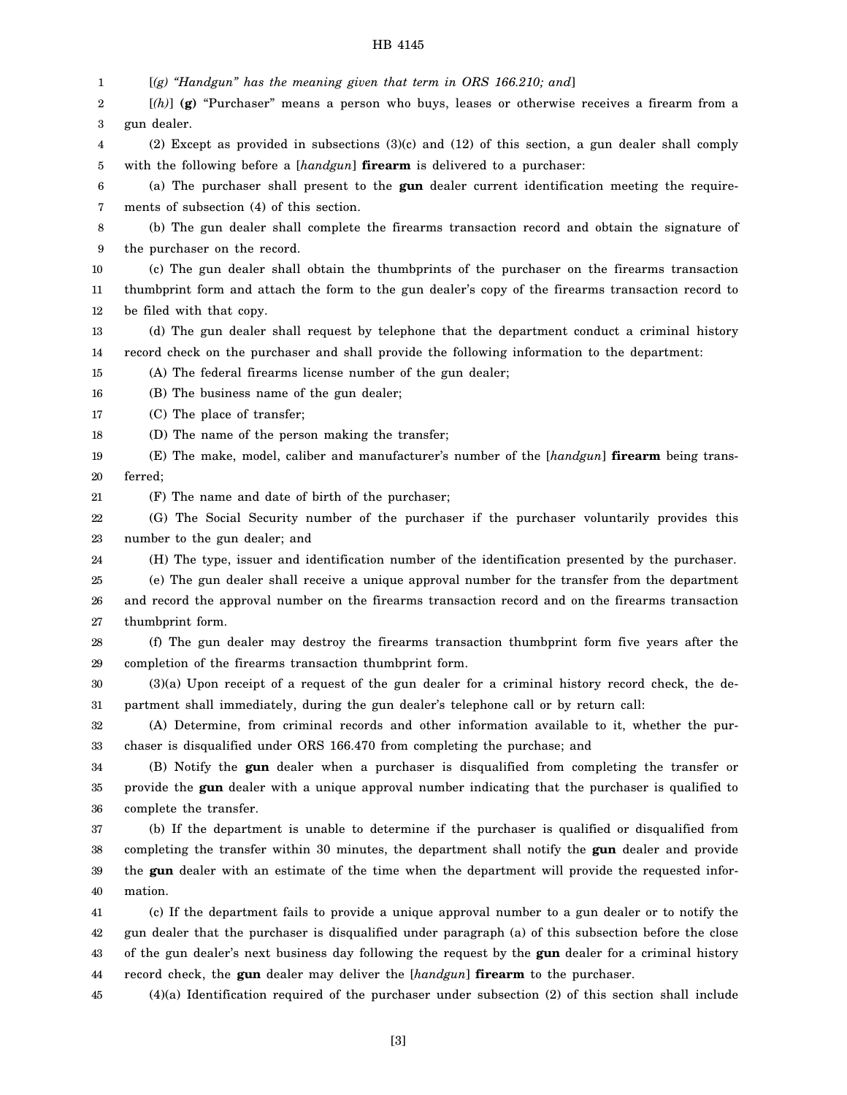1 2 3 4 5 6 7 8 9 10 11 12 13 14 15 16 17 18 19 20 21 22 23 24 25 26 27 28 29 30 31 32 33 34 35 36 37 38 39 40 41 42 43 44 45 [*(g) "Handgun" has the meaning given that term in ORS 166.210; and*] [*(h)*] **(g)** "Purchaser" means a person who buys, leases or otherwise receives a firearm from a gun dealer. (2) Except as provided in subsections (3)(c) and (12) of this section, a gun dealer shall comply with the following before a [*handgun*] **firearm** is delivered to a purchaser: (a) The purchaser shall present to the **gun** dealer current identification meeting the requirements of subsection (4) of this section. (b) The gun dealer shall complete the firearms transaction record and obtain the signature of the purchaser on the record. (c) The gun dealer shall obtain the thumbprints of the purchaser on the firearms transaction thumbprint form and attach the form to the gun dealer's copy of the firearms transaction record to be filed with that copy. (d) The gun dealer shall request by telephone that the department conduct a criminal history record check on the purchaser and shall provide the following information to the department: (A) The federal firearms license number of the gun dealer; (B) The business name of the gun dealer; (C) The place of transfer; (D) The name of the person making the transfer; (E) The make, model, caliber and manufacturer's number of the [*handgun*] **firearm** being transferred; (F) The name and date of birth of the purchaser; (G) The Social Security number of the purchaser if the purchaser voluntarily provides this number to the gun dealer; and (H) The type, issuer and identification number of the identification presented by the purchaser. (e) The gun dealer shall receive a unique approval number for the transfer from the department and record the approval number on the firearms transaction record and on the firearms transaction thumbprint form. (f) The gun dealer may destroy the firearms transaction thumbprint form five years after the completion of the firearms transaction thumbprint form. (3)(a) Upon receipt of a request of the gun dealer for a criminal history record check, the department shall immediately, during the gun dealer's telephone call or by return call: (A) Determine, from criminal records and other information available to it, whether the purchaser is disqualified under ORS 166.470 from completing the purchase; and (B) Notify the **gun** dealer when a purchaser is disqualified from completing the transfer or provide the **gun** dealer with a unique approval number indicating that the purchaser is qualified to complete the transfer. (b) If the department is unable to determine if the purchaser is qualified or disqualified from completing the transfer within 30 minutes, the department shall notify the **gun** dealer and provide the **gun** dealer with an estimate of the time when the department will provide the requested information. (c) If the department fails to provide a unique approval number to a gun dealer or to notify the gun dealer that the purchaser is disqualified under paragraph (a) of this subsection before the close of the gun dealer's next business day following the request by the **gun** dealer for a criminal history record check, the **gun** dealer may deliver the [*handgun*] **firearm** to the purchaser. (4)(a) Identification required of the purchaser under subsection (2) of this section shall include

[3]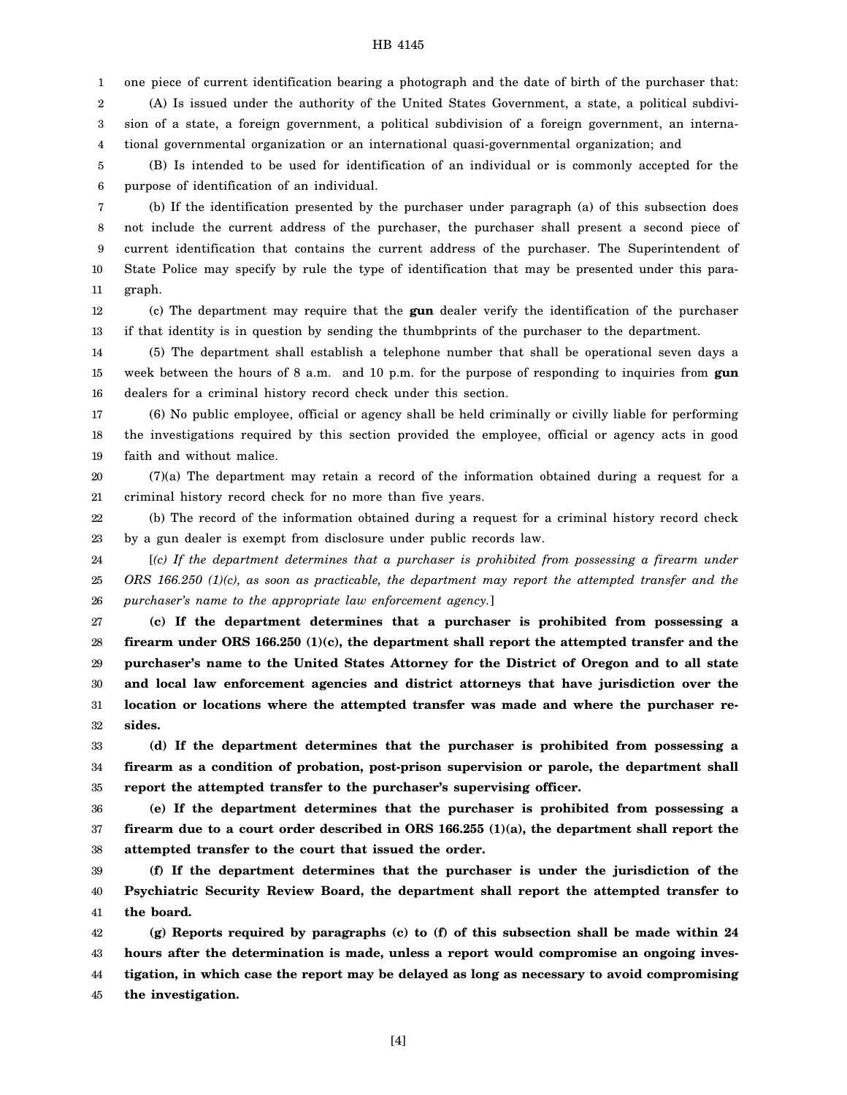1 2 3 one piece of current identification bearing a photograph and the date of birth of the purchaser that: (A) Is issued under the authority of the United States Government, a state, a political subdivision of a state, a foreign government, a political subdivision of a foreign government, an interna-

4 tional governmental organization or an international quasi-governmental organization; and

5 6 (B) Is intended to be used for identification of an individual or is commonly accepted for the purpose of identification of an individual.

7 8 9 10 11 (b) If the identification presented by the purchaser under paragraph (a) of this subsection does not include the current address of the purchaser, the purchaser shall present a second piece of current identification that contains the current address of the purchaser. The Superintendent of State Police may specify by rule the type of identification that may be presented under this paragraph.

12 13 (c) The department may require that the **gun** dealer verify the identification of the purchaser if that identity is in question by sending the thumbprints of the purchaser to the department.

14 15 16 (5) The department shall establish a telephone number that shall be operational seven days a week between the hours of 8 a.m. and 10 p.m. for the purpose of responding to inquiries from **gun** dealers for a criminal history record check under this section.

17 18 19 (6) No public employee, official or agency shall be held criminally or civilly liable for performing the investigations required by this section provided the employee, official or agency acts in good faith and without malice.

20 21 (7)(a) The department may retain a record of the information obtained during a request for a criminal history record check for no more than five years.

22 23 (b) The record of the information obtained during a request for a criminal history record check by a gun dealer is exempt from disclosure under public records law.

24 25 26 [*(c) If the department determines that a purchaser is prohibited from possessing a firearm under ORS 166.250 (1)(c), as soon as practicable, the department may report the attempted transfer and the purchaser's name to the appropriate law enforcement agency.*]

27 28 29 30 31 32 **(c) If the department determines that a purchaser is prohibited from possessing a firearm under ORS 166.250 (1)(c), the department shall report the attempted transfer and the purchaser's name to the United States Attorney for the District of Oregon and to all state and local law enforcement agencies and district attorneys that have jurisdiction over the location or locations where the attempted transfer was made and where the purchaser resides.**

33 34 35 **(d) If the department determines that the purchaser is prohibited from possessing a firearm as a condition of probation, post-prison supervision or parole, the department shall report the attempted transfer to the purchaser's supervising officer.**

36 37 38 **(e) If the department determines that the purchaser is prohibited from possessing a firearm due to a court order described in ORS 166.255 (1)(a), the department shall report the attempted transfer to the court that issued the order.**

39 40 41 **(f) If the department determines that the purchaser is under the jurisdiction of the Psychiatric Security Review Board, the department shall report the attempted transfer to the board.**

42 43 44 45 **(g) Reports required by paragraphs (c) to (f) of this subsection shall be made within 24 hours after the determination is made, unless a report would compromise an ongoing investigation, in which case the report may be delayed as long as necessary to avoid compromising the investigation.**

[4]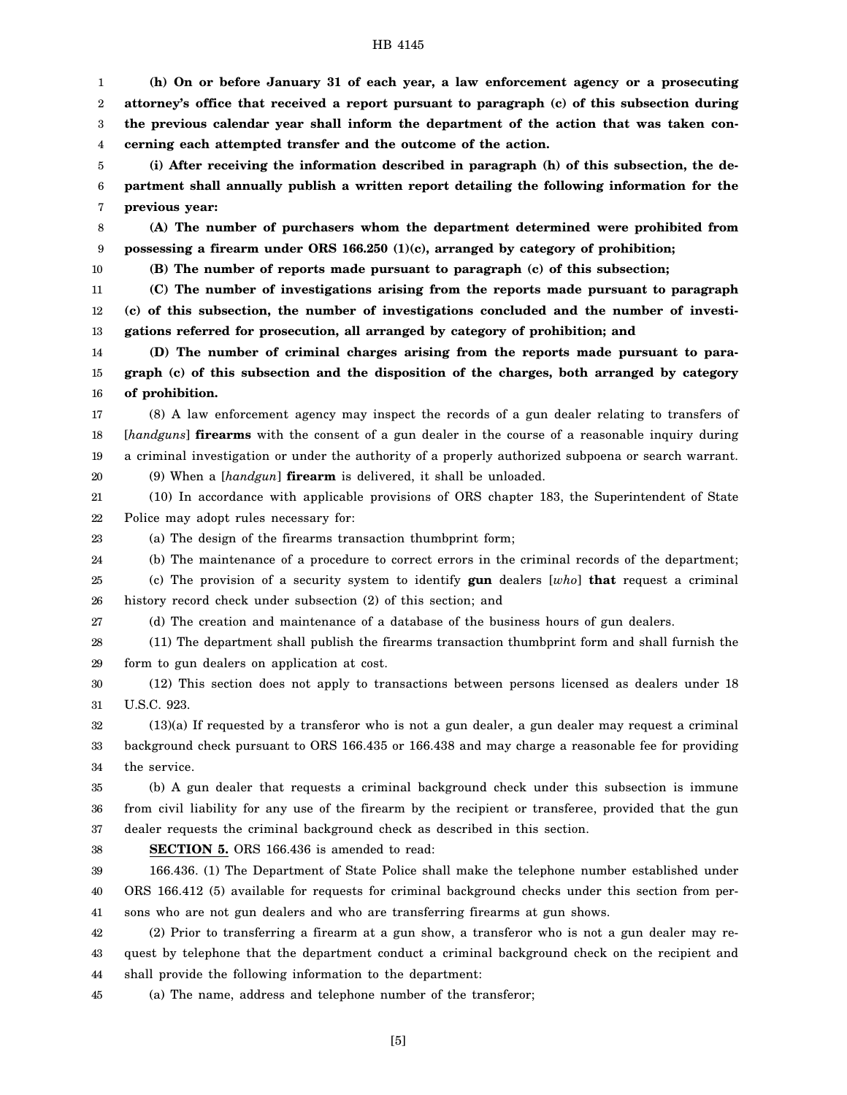1 2 3 4 **(h) On or before January 31 of each year, a law enforcement agency or a prosecuting attorney's office that received a report pursuant to paragraph (c) of this subsection during the previous calendar year shall inform the department of the action that was taken concerning each attempted transfer and the outcome of the action.**

5 6 7 **(i) After receiving the information described in paragraph (h) of this subsection, the department shall annually publish a written report detailing the following information for the previous year:**

8 9 **(A) The number of purchasers whom the department determined were prohibited from possessing a firearm under ORS 166.250 (1)(c), arranged by category of prohibition;**

10

**(B) The number of reports made pursuant to paragraph (c) of this subsection;**

11 12 13 **(C) The number of investigations arising from the reports made pursuant to paragraph (c) of this subsection, the number of investigations concluded and the number of investigations referred for prosecution, all arranged by category of prohibition; and**

14 15 16 **(D) The number of criminal charges arising from the reports made pursuant to paragraph (c) of this subsection and the disposition of the charges, both arranged by category of prohibition.**

17 18 19 (8) A law enforcement agency may inspect the records of a gun dealer relating to transfers of [*handguns*] **firearms** with the consent of a gun dealer in the course of a reasonable inquiry during a criminal investigation or under the authority of a properly authorized subpoena or search warrant. (9) When a [*handgun*] **firearm** is delivered, it shall be unloaded.

20

21 22 (10) In accordance with applicable provisions of ORS chapter 183, the Superintendent of State Police may adopt rules necessary for:

23 (a) The design of the firearms transaction thumbprint form;

24 (b) The maintenance of a procedure to correct errors in the criminal records of the department;

25 (c) The provision of a security system to identify **gun** dealers [*who*] **that** request a criminal

26 history record check under subsection (2) of this section; and

27

28 (d) The creation and maintenance of a database of the business hours of gun dealers. (11) The department shall publish the firearms transaction thumbprint form and shall furnish the

29 form to gun dealers on application at cost.

30 31 (12) This section does not apply to transactions between persons licensed as dealers under 18 U.S.C. 923.

32 33 34 (13)(a) If requested by a transferor who is not a gun dealer, a gun dealer may request a criminal background check pursuant to ORS 166.435 or 166.438 and may charge a reasonable fee for providing the service.

35 36 37 (b) A gun dealer that requests a criminal background check under this subsection is immune from civil liability for any use of the firearm by the recipient or transferee, provided that the gun dealer requests the criminal background check as described in this section.

38

**SECTION 5.** ORS 166.436 is amended to read:

39 40 41 166.436. (1) The Department of State Police shall make the telephone number established under ORS 166.412 (5) available for requests for criminal background checks under this section from persons who are not gun dealers and who are transferring firearms at gun shows.

42 43 44 (2) Prior to transferring a firearm at a gun show, a transferor who is not a gun dealer may request by telephone that the department conduct a criminal background check on the recipient and shall provide the following information to the department:

45 (a) The name, address and telephone number of the transferor;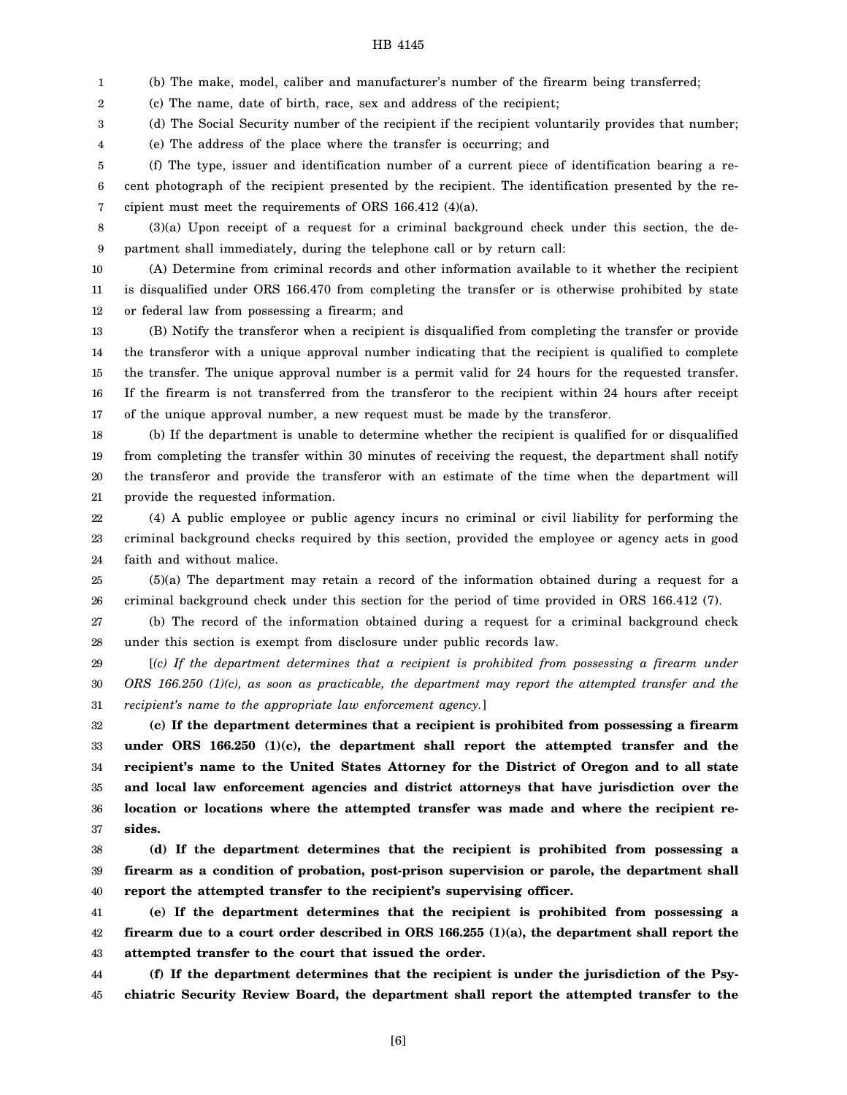1 (b) The make, model, caliber and manufacturer's number of the firearm being transferred;

2 (c) The name, date of birth, race, sex and address of the recipient;

3 (d) The Social Security number of the recipient if the recipient voluntarily provides that number;

4 (e) The address of the place where the transfer is occurring; and

5 6 7 (f) The type, issuer and identification number of a current piece of identification bearing a recent photograph of the recipient presented by the recipient. The identification presented by the recipient must meet the requirements of ORS 166.412 (4)(a).

8 9

(3)(a) Upon receipt of a request for a criminal background check under this section, the department shall immediately, during the telephone call or by return call:

10 11 12 (A) Determine from criminal records and other information available to it whether the recipient is disqualified under ORS 166.470 from completing the transfer or is otherwise prohibited by state or federal law from possessing a firearm; and

13 14 15 16 17 (B) Notify the transferor when a recipient is disqualified from completing the transfer or provide the transferor with a unique approval number indicating that the recipient is qualified to complete the transfer. The unique approval number is a permit valid for 24 hours for the requested transfer. If the firearm is not transferred from the transferor to the recipient within 24 hours after receipt of the unique approval number, a new request must be made by the transferor.

18 19 20 21 (b) If the department is unable to determine whether the recipient is qualified for or disqualified from completing the transfer within 30 minutes of receiving the request, the department shall notify the transferor and provide the transferor with an estimate of the time when the department will provide the requested information.

22 23 24 (4) A public employee or public agency incurs no criminal or civil liability for performing the criminal background checks required by this section, provided the employee or agency acts in good faith and without malice.

25 26 (5)(a) The department may retain a record of the information obtained during a request for a criminal background check under this section for the period of time provided in ORS 166.412 (7).

27 28 (b) The record of the information obtained during a request for a criminal background check under this section is exempt from disclosure under public records law.

29 30 31 [*(c) If the department determines that a recipient is prohibited from possessing a firearm under ORS 166.250 (1)(c), as soon as practicable, the department may report the attempted transfer and the recipient's name to the appropriate law enforcement agency.*]

32 33 34 35 36 37 **(c) If the department determines that a recipient is prohibited from possessing a firearm under ORS 166.250 (1)(c), the department shall report the attempted transfer and the recipient's name to the United States Attorney for the District of Oregon and to all state and local law enforcement agencies and district attorneys that have jurisdiction over the location or locations where the attempted transfer was made and where the recipient resides.**

38 39 40 **(d) If the department determines that the recipient is prohibited from possessing a firearm as a condition of probation, post-prison supervision or parole, the department shall report the attempted transfer to the recipient's supervising officer.**

41 42 43 **(e) If the department determines that the recipient is prohibited from possessing a firearm due to a court order described in ORS 166.255 (1)(a), the department shall report the attempted transfer to the court that issued the order.**

44 45 **(f) If the department determines that the recipient is under the jurisdiction of the Psychiatric Security Review Board, the department shall report the attempted transfer to the**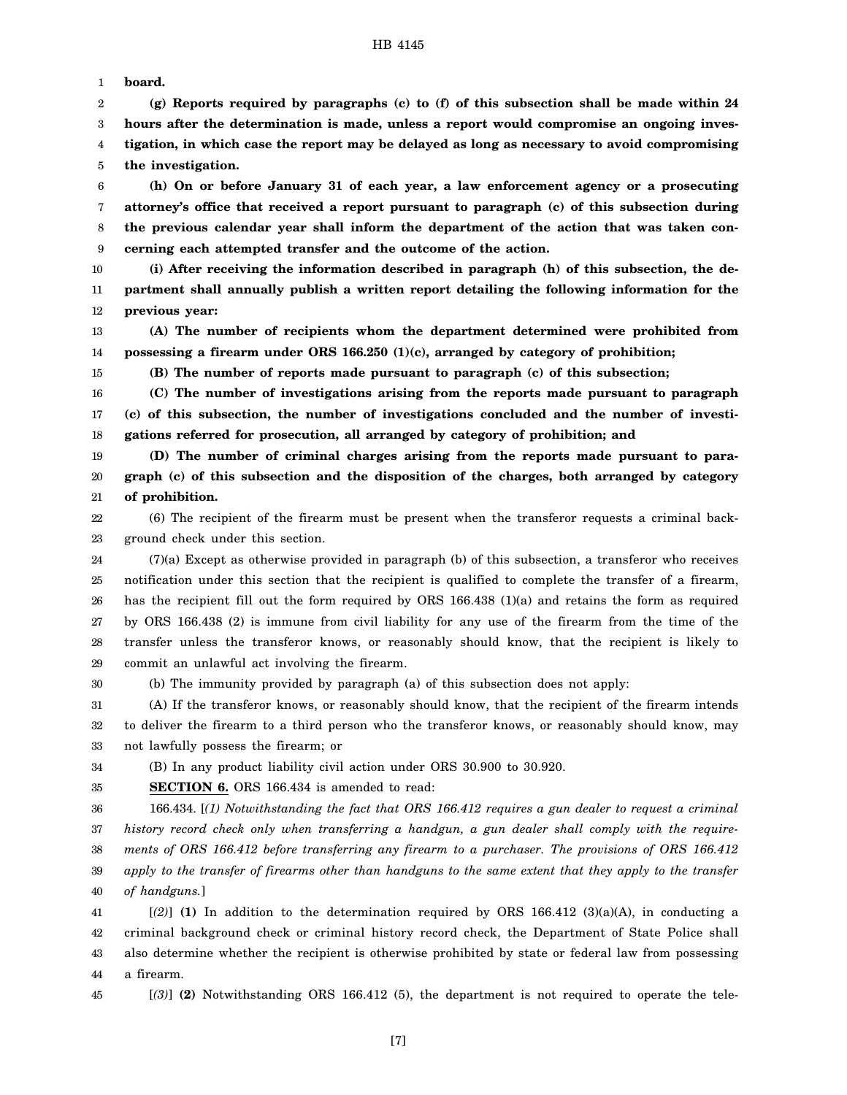1 **board.**

2 3 4 5 **(g) Reports required by paragraphs (c) to (f) of this subsection shall be made within 24 hours after the determination is made, unless a report would compromise an ongoing investigation, in which case the report may be delayed as long as necessary to avoid compromising the investigation.**

6 7 8 9 **(h) On or before January 31 of each year, a law enforcement agency or a prosecuting attorney's office that received a report pursuant to paragraph (c) of this subsection during the previous calendar year shall inform the department of the action that was taken concerning each attempted transfer and the outcome of the action.**

10 11 12 **(i) After receiving the information described in paragraph (h) of this subsection, the department shall annually publish a written report detailing the following information for the previous year:**

13 14 **(A) The number of recipients whom the department determined were prohibited from possessing a firearm under ORS 166.250 (1)(c), arranged by category of prohibition;**

**(B) The number of reports made pursuant to paragraph (c) of this subsection;**

16 17 18 **(C) The number of investigations arising from the reports made pursuant to paragraph (c) of this subsection, the number of investigations concluded and the number of investigations referred for prosecution, all arranged by category of prohibition; and**

19 20 21 **(D) The number of criminal charges arising from the reports made pursuant to paragraph (c) of this subsection and the disposition of the charges, both arranged by category of prohibition.**

22 23 (6) The recipient of the firearm must be present when the transferor requests a criminal background check under this section.

24 25 26 27 28 29 (7)(a) Except as otherwise provided in paragraph (b) of this subsection, a transferor who receives notification under this section that the recipient is qualified to complete the transfer of a firearm, has the recipient fill out the form required by ORS 166.438 (1)(a) and retains the form as required by ORS 166.438 (2) is immune from civil liability for any use of the firearm from the time of the transfer unless the transferor knows, or reasonably should know, that the recipient is likely to commit an unlawful act involving the firearm.

30

15

(b) The immunity provided by paragraph (a) of this subsection does not apply:

31 32 33 (A) If the transferor knows, or reasonably should know, that the recipient of the firearm intends to deliver the firearm to a third person who the transferor knows, or reasonably should know, may not lawfully possess the firearm; or

34 (B) In any product liability civil action under ORS 30.900 to 30.920.

35 **SECTION 6.** ORS 166.434 is amended to read:

36 37 38 39 40 166.434. [*(1) Notwithstanding the fact that ORS 166.412 requires a gun dealer to request a criminal history record check only when transferring a handgun, a gun dealer shall comply with the requirements of ORS 166.412 before transferring any firearm to a purchaser. The provisions of ORS 166.412 apply to the transfer of firearms other than handguns to the same extent that they apply to the transfer of handguns.*]

41 42 43 44  $[(2)]$  (1) In addition to the determination required by ORS 166.412 (3)(a)(A), in conducting a criminal background check or criminal history record check, the Department of State Police shall also determine whether the recipient is otherwise prohibited by state or federal law from possessing a firearm.

45

[*(3)*] **(2)** Notwithstanding ORS 166.412 (5), the department is not required to operate the tele-